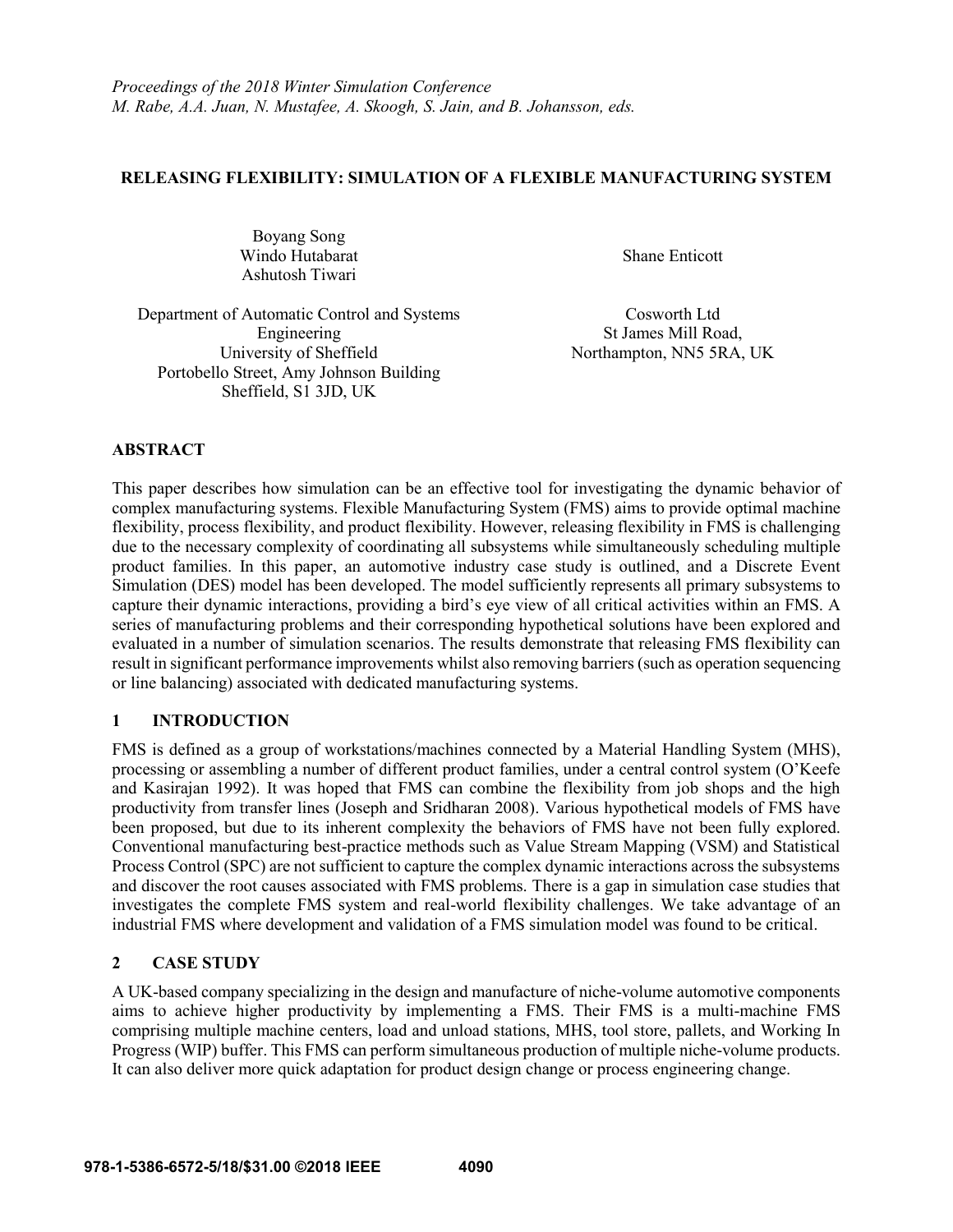## **RELEASING FLEXIBILITY: SIMULATION OF A FLEXIBLE MANUFACTURING SYSTEM**

Boyang Song Windo Hutabarat Ashutosh Tiwari

Shane Enticott

Department of Automatic Control and Systems Engineering University of Sheffield Portobello Street, Amy Johnson Building Sheffield, S1 3JD, UK

Cosworth Ltd St James Mill Road, Northampton, NN5 5RA, UK

# **ABSTRACT**

This paper describes how simulation can be an effective tool for investigating the dynamic behavior of complex manufacturing systems. Flexible Manufacturing System (FMS) aims to provide optimal machine flexibility, process flexibility, and product flexibility. However, releasing flexibility in FMS is challenging due to the necessary complexity of coordinating all subsystems while simultaneously scheduling multiple product families. In this paper, an automotive industry case study is outlined, and a Discrete Event Simulation (DES) model has been developed. The model sufficiently represents all primary subsystems to capture their dynamic interactions, providing a bird's eye view of all critical activities within an FMS. A series of manufacturing problems and their corresponding hypothetical solutions have been explored and evaluated in a number of simulation scenarios. The results demonstrate that releasing FMS flexibility can result in significant performance improvements whilst also removing barriers(such as operation sequencing or line balancing) associated with dedicated manufacturing systems.

## **1 INTRODUCTION**

FMS is defined as a group of workstations/machines connected by a Material Handling System (MHS), processing or assembling a number of different product families, under a central control system (O'Keefe and Kasirajan 1992). It was hoped that FMS can combine the flexibility from job shops and the high productivity from transfer lines (Joseph and Sridharan 2008). Various hypothetical models of FMS have been proposed, but due to its inherent complexity the behaviors of FMS have not been fully explored. Conventional manufacturing best-practice methods such as Value Stream Mapping (VSM) and Statistical Process Control (SPC) are not sufficient to capture the complex dynamic interactions across the subsystems and discover the root causes associated with FMS problems. There is a gap in simulation case studies that investigates the complete FMS system and real-world flexibility challenges. We take advantage of an industrial FMS where development and validation of a FMS simulation model was found to be critical.

# **2 CASE STUDY**

A UK-based company specializing in the design and manufacture of niche-volume automotive components aims to achieve higher productivity by implementing a FMS. Their FMS is a multi-machine FMS comprising multiple machine centers, load and unload stations, MHS, tool store, pallets, and Working In Progress (WIP) buffer. This FMS can perform simultaneous production of multiple niche-volume products. It can also deliver more quick adaptation for product design change or process engineering change.